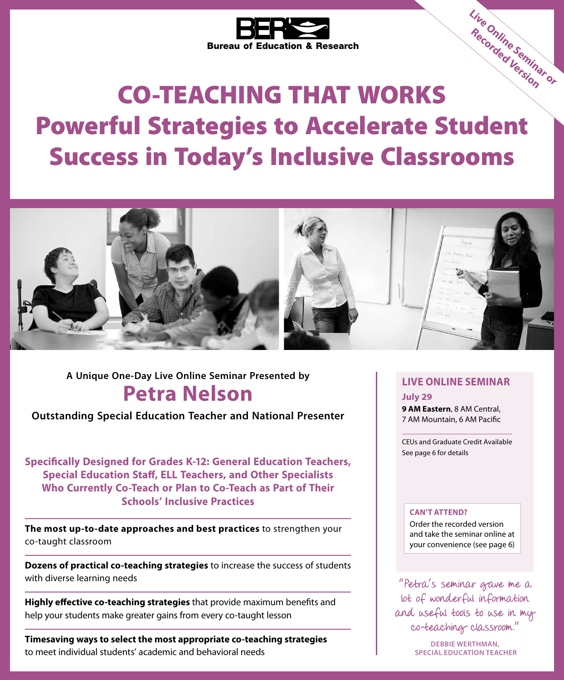

# CO-TEACHING THAT WORKS Powerful Strategies to Accelerate Student Success in Today's Inclusive Classrooms **Live Online Seminar or Recorded Version**



**Petra Nelson A Unique One-Day Live Online Seminar Presented by LIVE ONLINE SEMINAR**

**Outstanding Special Education Teacher and National Presenter**

**Specifically Designed for Grades K-12: General Education Teachers, Special Education Staff, ELL Teachers, and Other Specialists Who Currently Co-Teach or Plan to Co-Teach as Part of Their Schools' Inclusive Practices**

**The most up-to-date approaches and best practices** to strengthen your co-taught classroom

**Dozens of practical co-teaching strategies** to increase the success of students with diverse learning needs

**Highly effective co-teaching strategies** that provide maximum benefits and help your students make greater gains from every co-taught lesson

**Timesaving ways to select the most appropriate co-teaching strategies** to meet individual students' academic and behavioral needs

**July 29 9 AM Eastern**, 8 AM Central, 7 AM Mountain, 6 AM Pacific

CEUs and Graduate Credit Available See page 6 for details

#### **CAN'T ATTEND?**

Order the recorded version and take the seminar online at your convenience (see page 6)

"Petra's seminar gave me a lot of wonderful information and useful tools to use in my co‑teaching classroom."

> **DEBBIE WERTHMAN, SPECIAL EDUCATION TEACHER**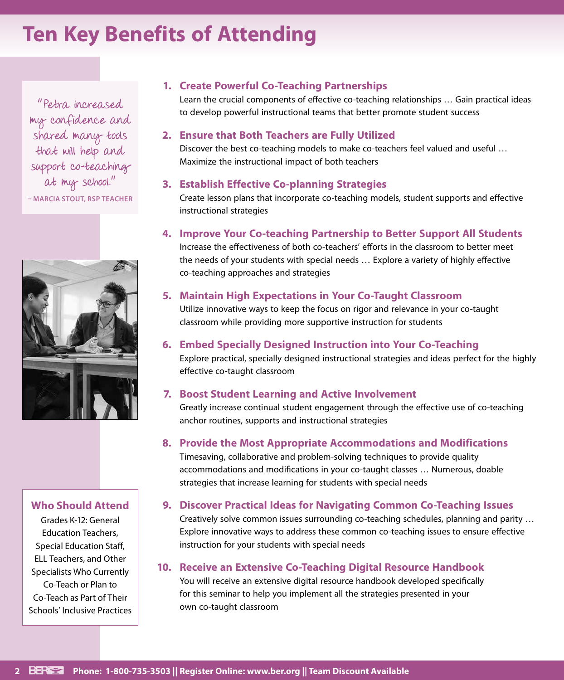### **Ten Key Benefits of Attending**

"Petra increased my confidence and shared many tools that will help and support co-teaching at my school." **– MARCIA STOUT, RSP TEACHER**



#### **Who Should Attend**

Grades K-12: General Education Teachers, Special Education Staff, ELL Teachers, and Other Specialists Who Currently Co-Teach or Plan to Co-Teach as Part of Their Schools' Inclusive Practices

#### **1. Create Powerful Co-Teaching Partnerships**

Learn the crucial components of effective co-teaching relationships … Gain practical ideas to develop powerful instructional teams that better promote student success

#### **2. Ensure that Both Teachers are Fully Utilized**

Discover the best co-teaching models to make co-teachers feel valued and useful … Maximize the instructional impact of both teachers

#### **3. Establish Effective Co-planning Strategies**

Create lesson plans that incorporate co-teaching models, student supports and effective instructional strategies

#### **4. Improve Your Co-teaching Partnership to Better Support All Students**

Increase the effectiveness of both co-teachers' efforts in the classroom to better meet the needs of your students with special needs … Explore a variety of highly effective co-teaching approaches and strategies

#### **5. Maintain High Expectations in Your Co-Taught Classroom**

Utilize innovative ways to keep the focus on rigor and relevance in your co-taught classroom while providing more supportive instruction for students

#### **6. Embed Specially Designed Instruction into Your Co-Teaching**

Explore practical, specially designed instructional strategies and ideas perfect for the highly effective co-taught classroom

#### **7. Boost Student Learning and Active Involvement**

Greatly increase continual student engagement through the effective use of co-teaching anchor routines, supports and instructional strategies

#### **8. Provide the Most Appropriate Accommodations and Modifications**

Timesaving, collaborative and problem-solving techniques to provide quality accommodations and modifications in your co-taught classes … Numerous, doable strategies that increase learning for students with special needs

#### **9. Discover Practical Ideas for Navigating Common Co-Teaching Issues**

Creatively solve common issues surrounding co-teaching schedules, planning and parity … Explore innovative ways to address these common co-teaching issues to ensure effective instruction for your students with special needs

#### **10. Receive an Extensive Co-Teaching Digital Resource Handbook**

You will receive an extensive digital resource handbook developed specifically for this seminar to help you implement all the strategies presented in your own co-taught classroom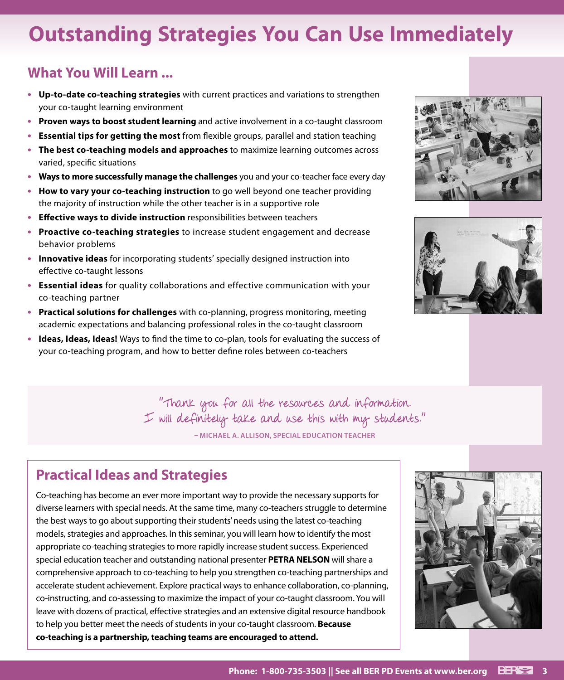## **Outstanding Strategies You Can Use Immediately**

#### **What You Will Learn ...**

- **• Up-to-date co-teaching strategies** with current practices and variations to strengthen your co-taught learning environment
- **• Proven ways to boost student learning** and active involvement in a co-taught classroom
- **• Essential tips for getting the most** from flexible groups, parallel and station teaching
- **• The best co-teaching models and approaches** to maximize learning outcomes across varied, specific situations
- **• Ways to more successfully manage the challenges** you and your co-teacher face every day
- **• How to vary your co-teaching instruction** to go well beyond one teacher providing the majority of instruction while the other teacher is in a supportive role
- **• Effective ways to divide instruction** responsibilities between teachers
- **• Proactive co-teaching strategies** to increase student engagement and decrease behavior problems
- **• Innovative ideas** for incorporating students' specially designed instruction into effective co-taught lessons
- **• Essential ideas** for quality collaborations and effective communication with your co-teaching partner
- **• Practical solutions for challenges** with co-planning, progress monitoring, meeting academic expectations and balancing professional roles in the co-taught classroom
- **• Ideas, Ideas, Ideas!** Ways to find the time to co-plan, tools for evaluating the success of your co-teaching program, and how to better define roles between co-teachers





"Thank you for all the resources and information. I will definitely take and use this with my students." **– MICHAEL A. ALLISON, SPECIAL EDUCATION TEACHER**

#### **Practical Ideas and Strategies**

Co-teaching has become an ever more important way to provide the necessary supports for diverse learners with special needs. At the same time, many co-teachers struggle to determine the best ways to go about supporting their students' needs using the latest co-teaching models, strategies and approaches. In this seminar, you will learn how to identify the most appropriate co-teaching strategies to more rapidly increase student success. Experienced special education teacher and outstanding national presenter **PETRA NELSON** will share a comprehensive approach to co-teaching to help you strengthen co-teaching partnerships and accelerate student achievement. Explore practical ways to enhance collaboration, co-planning, co-instructing, and co-assessing to maximize the impact of your co-taught classroom. You will leave with dozens of practical, effective strategies and an extensive digital resource handbook to help you better meet the needs of students in your co-taught classroom. **Because co-teaching is a partnership, teaching teams are encouraged to attend.**

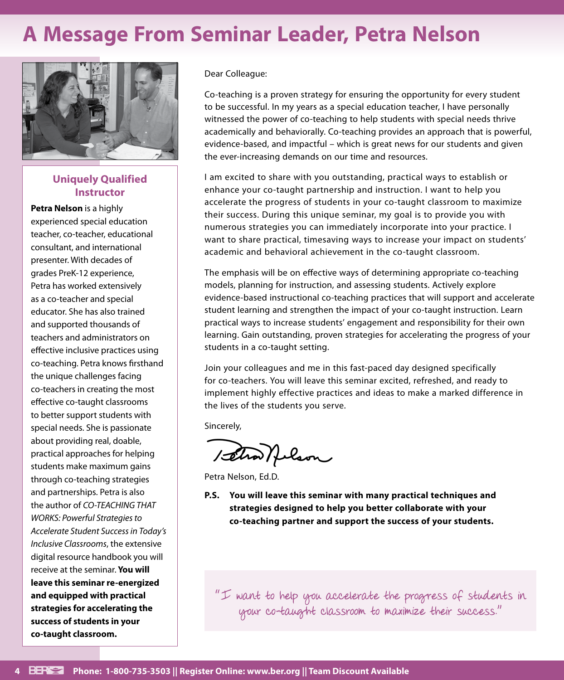### **A Message From Seminar Leader, Petra Nelson**



#### **Uniquely Qualified Instructor**

**Petra Nelson** is a highly experienced special education teacher, co-teacher, educational consultant, and international presenter. With decades of grades PreK-12 experience, Petra has worked extensively as a co-teacher and special educator. She has also trained and supported thousands of teachers and administrators on effective inclusive practices using co-teaching. Petra knows firsthand the unique challenges facing co-teachers in creating the most effective co-taught classrooms to better support students with special needs. She is passionate about providing real, doable, practical approaches for helping students make maximum gains through co-teaching strategies and partnerships. Petra is also the author of *CO-TEACHING THAT WORKS: Powerful Strategies to Accelerate Student Success in Today's Inclusive Classrooms*, the extensive digital resource handbook you will receive at the seminar. **You will leave this seminar re-energized and equipped with practical strategies for accelerating the success of students in your co-taught classroom.**

Dear Colleague:

Co-teaching is a proven strategy for ensuring the opportunity for every student to be successful. In my years as a special education teacher, I have personally witnessed the power of co-teaching to help students with special needs thrive academically and behaviorally. Co-teaching provides an approach that is powerful, evidence-based, and impactful – which is great news for our students and given the ever-increasing demands on our time and resources.

I am excited to share with you outstanding, practical ways to establish or enhance your co-taught partnership and instruction. I want to help you accelerate the progress of students in your co-taught classroom to maximize their success. During this unique seminar, my goal is to provide you with numerous strategies you can immediately incorporate into your practice. I want to share practical, timesaving ways to increase your impact on students' academic and behavioral achievement in the co-taught classroom.

The emphasis will be on effective ways of determining appropriate co-teaching models, planning for instruction, and assessing students. Actively explore evidence-based instructional co-teaching practices that will support and accelerate student learning and strengthen the impact of your co-taught instruction. Learn practical ways to increase students' engagement and responsibility for their own learning. Gain outstanding, proven strategies for accelerating the progress of your students in a co-taught setting.

Join your colleagues and me in this fast-paced day designed specifically for co-teachers. You will leave this seminar excited, refreshed, and ready to implement highly effective practices and ideas to make a marked difference in the lives of the students you serve.

Sincerely,

1 setra Nelson

Petra Nelson, Ed.D.

**P.S. You will leave this seminar with many practical techniques and strategies designed to help you better collaborate with your co-teaching partner and support the success of your students.**

"I want to help you accelerate the progress of students in your co-taught classroom to maximize their success."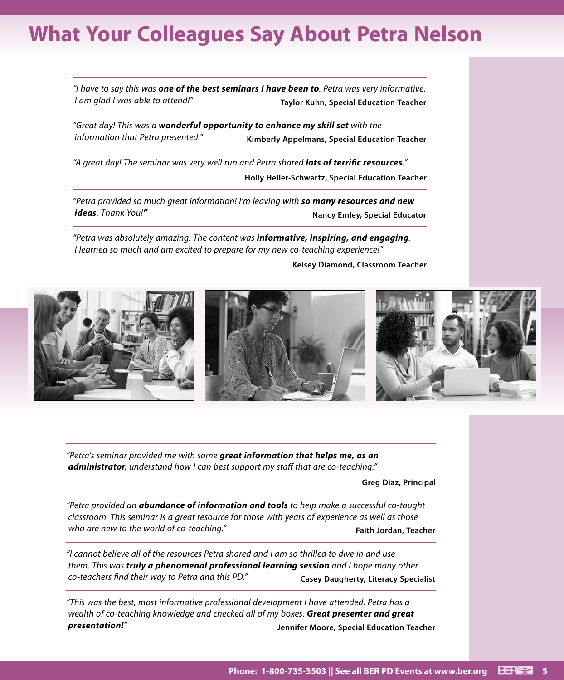### **What Your Colleagues Say About Petra Nelson**

*"I have to say this was one of the best seminars I have been to. Petra was very informative. I am glad I was able to attend!"* **Taylor Kuhn, Special Education Teacher**

*"Great day! This was a wonderful opportunity to enhance my skill set with the information that Petra presented."* **Kimberly Appelmans, Special Education Teacher**

*"A great day! The seminar was very well run and Petra shared lots of terrific resources."* **Holly Heller-Schwartz, Special Education Teacher**

*"Petra provided so much great information! I'm leaving with so many resources and new* 

*ideas.* Thank You!"

*"Petra was absolutely amazing. The content was informative, inspiring, and engaging. I learned so much and am excited to prepare for my new co-teaching experience!"*

**Kelsey Diamond, Classroom Teacher**



*"Petra's seminar provided me with some great information that helps me, as an administrator, understand how I can best support my staff that are co-teaching."*

**Greg Diaz, Principal**

*"Petra provided an abundance of information and tools to help make a successful co-taught classroom. This seminar is a great resource for those with years of experience as well as those who are new to the world of co-teaching."* **Faith Jordan, Teacher** *Faith Jordan*, Teacher

*"I cannot believe all of the resources Petra shared and I am so thrilled to dive in and use them. This was truly a phenomenal professional learning session and I hope many other co-teachers find their way to Petra and this PD."* **Casey Daugherty, Literacy Specialist** 

*"This was the best, most informative professional development I have attended. Petra has a wealth of co-teaching knowledge and checked all of my boxes. Great presenter and great presentation!"* **Jennifer Moore, Special Education Teacher**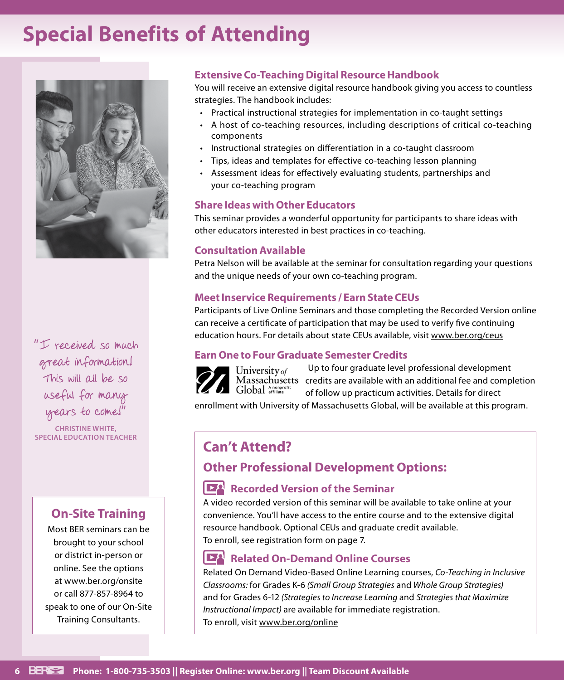### **Special Benefits of Attending**



"I received so much great information! This will all be so useful for many years to come!"

**CHRISTINE WHITE, SPECIAL EDUCATION TEACHER**

#### **On-Site Training**

Most BER seminars can be brought to your school or district in-person or online. See the options at www.ber.org/onsite or call 877-857-8964 to speak to one of our On-Site Training Consultants.

#### **Extensive Co-Teaching Digital Resource Handbook**

You will receive an extensive digital resource handbook giving you access to countless strategies. The handbook includes:

- Practical instructional strategies for implementation in co-taught settings
- A host of co-teaching resources, including descriptions of critical co-teaching components
- Instructional strategies on differentiation in a co-taught classroom
- Tips, ideas and templates for effective co-teaching lesson planning
- Assessment ideas for effectively evaluating students, partnerships and your co-teaching program

#### **Share Ideas with Other Educators**

This seminar provides a wonderful opportunity for participants to share ideas with other educators interested in best practices in co-teaching.

#### **Consultation Available**

Petra Nelson will be available at the seminar for consultation regarding your questions and the unique needs of your own co-teaching program.

#### **Meet Inservice Requirements / Earn State CEUs**

Participants of Live Online Seminars and those completing the Recorded Version online can receive a certificate of participation that may be used to verify five continuing education hours. For details about state CEUs available, visit www.ber.org/ceus

#### **Earn One to Four Graduate Semester Credits**



Up to four graduate level professional development Massachusetts credits are available with an additional fee and completion of follow up practicum activities. Details for direct

enrollment with University of Massachusetts Global, will be available at this program.

#### **Can't Attend?**

#### **Other Professional Development Options:**

#### **Recorded Version of the Seminar**

A video recorded version of this seminar will be available to take online at your convenience. You'll have access to the entire course and to the extensive digital resource handbook. Optional CEUs and graduate credit available. To enroll, see registration form on page 7.

#### **Related On-Demand Online Courses**

Related On Demand Video-Based Online Learning courses, *Co-Teaching in Inclusive Classrooms:* for Grades K-6 *(Small Group Strategies* and *Whole Group Strategies)*  and for Grades 6-12 *(Strategies to Increase Learning* and *Strategies that Maximize Instructional Impact)* are available for immediate registration. To enroll, visit www.ber.org/online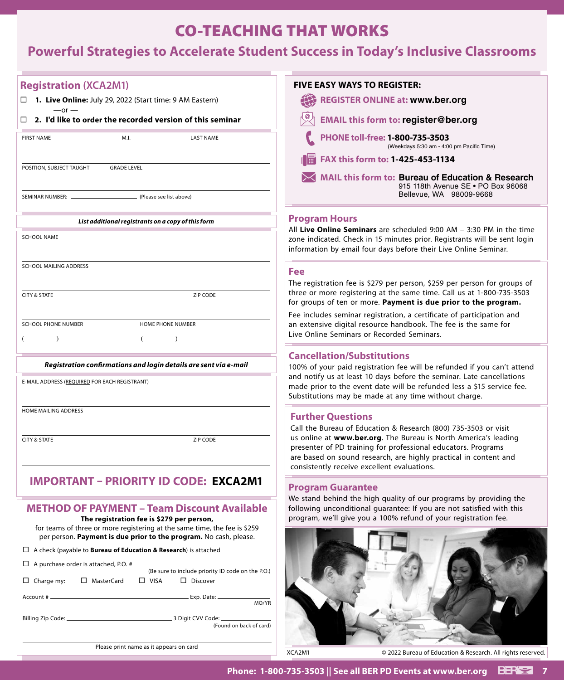#### CO-TEACHING THAT WORKS

### **Powerful Strategies to Accelerate Student Success in Today's Inclusive Classrooms**

| <b>Registration (XCA2M1)</b>                                                                                                                   | <b>FIVE EASY WAYS TO REGISTER:</b>                                                                                                                                                                                                                  |
|------------------------------------------------------------------------------------------------------------------------------------------------|-----------------------------------------------------------------------------------------------------------------------------------------------------------------------------------------------------------------------------------------------------|
| 1. Live Online: July 29, 2022 (Start time: 9 AM Eastern)                                                                                       | <b>REGISTER ONLINE at: www.ber.org</b>                                                                                                                                                                                                              |
| $-$ or $-$<br>$\Box$ 2. I'd like to order the recorded version of this seminar                                                                 | <b>EMAIL this form to: register@ber.org</b>                                                                                                                                                                                                         |
| <b>FIRST NAME</b><br>M.I.<br><b>LAST NAME</b>                                                                                                  | PHONE toll-free: 1-800-735-3503<br>(Weekdays 5:30 am - 4:00 pm Pacific Time)                                                                                                                                                                        |
|                                                                                                                                                | FAX this form to: 1-425-453-1134                                                                                                                                                                                                                    |
| POSITION, SUBJECT TAUGHT<br><b>GRADE LEVEL</b>                                                                                                 | <b>MAIL this form to: Bureau of Education &amp; Research</b><br>915 118th Avenue SE . PO Box 96068                                                                                                                                                  |
| - (Please see list above)<br>SEMINAR NUMBER: -                                                                                                 | Bellevue, WA 98009-9668                                                                                                                                                                                                                             |
| List additional registrants on a copy of this form                                                                                             | <b>Program Hours</b>                                                                                                                                                                                                                                |
| <b>SCHOOL NAME</b>                                                                                                                             | All Live Online Seminars are scheduled 9:00 AM - 3:30 PM in the time<br>zone indicated. Check in 15 minutes prior. Registrants will be sent login<br>information by email four days before their Live Online Seminar.                               |
| <b>SCHOOL MAILING ADDRESS</b>                                                                                                                  | Fee                                                                                                                                                                                                                                                 |
| <b>CITY &amp; STATE</b><br>ZIP CODE                                                                                                            | The registration fee is \$279 per person, \$259 per person for groups of<br>three or more registering at the same time. Call us at 1-800-735-3503<br>for groups of ten or more. Payment is due prior to the program.                                |
|                                                                                                                                                | Fee includes seminar registration, a certificate of participation and                                                                                                                                                                               |
| <b>SCHOOL PHONE NUMBER</b><br>HOME PHONE NUMBER<br>$\lambda$                                                                                   | an extensive digital resource handbook. The fee is the same for<br>Live Online Seminars or Recorded Seminars.                                                                                                                                       |
|                                                                                                                                                | <b>Cancellation/Substitutions</b>                                                                                                                                                                                                                   |
| Registration confirmations and login details are sent via e-mail                                                                               | 100% of your paid registration fee will be refunded if you can't attend                                                                                                                                                                             |
| E-MAIL ADDRESS (REQUIRED FOR EACH REGISTRANT)                                                                                                  | and notify us at least 10 days before the seminar. Late cancellations<br>made prior to the event date will be refunded less a \$15 service fee.<br>Substitutions may be made at any time without charge.                                            |
| HOME MAILING ADDRESS                                                                                                                           | <b>Further Questions</b>                                                                                                                                                                                                                            |
|                                                                                                                                                | Call the Bureau of Education & Research (800) 735-3503 or visit                                                                                                                                                                                     |
| <b>CITY &amp; STATE</b><br><b>ZIP CODE</b>                                                                                                     | us online at www.ber.org. The Bureau is North America's leading<br>presenter of PD training for professional educators. Programs<br>are based on sound research, are highly practical in content and<br>consistently receive excellent evaluations. |
| IMPORTANT – PRIORITY ID CODE: EXCA2M1                                                                                                          |                                                                                                                                                                                                                                                     |
|                                                                                                                                                | <b>Program Guarantee</b><br>We stand behind the high quality of our programs by providing the                                                                                                                                                       |
| <b>METHOD OF PAYMENT - Team Discount Available</b><br>The registration fee is \$279 per person,                                                | following unconditional guarantee: If you are not satisfied with this<br>program, we'll give you a 100% refund of your registration fee.                                                                                                            |
| for teams of three or more registering at the same time, the fee is \$259<br>per person. Payment is due prior to the program. No cash, please. |                                                                                                                                                                                                                                                     |
| $\Box$ A check (payable to <b>Bureau of Education &amp; Research</b> ) is attached                                                             |                                                                                                                                                                                                                                                     |
| $\Box$ A purchase order is attached, P.O. # $\Box$<br>(Be sure to include priority ID code on the P.O.)                                        |                                                                                                                                                                                                                                                     |
| $\Box$ Charge my:<br>□ MasterCard<br>$\Box$ VISA<br>$\Box$ Discover                                                                            |                                                                                                                                                                                                                                                     |
| MO/YR                                                                                                                                          |                                                                                                                                                                                                                                                     |
| (Found on back of card)                                                                                                                        |                                                                                                                                                                                                                                                     |
| Please print name as it appears on card                                                                                                        | XCA2M1<br>© 2022 Bureau of Education & Research. All rights reserved.                                                                                                                                                                               |
|                                                                                                                                                |                                                                                                                                                                                                                                                     |